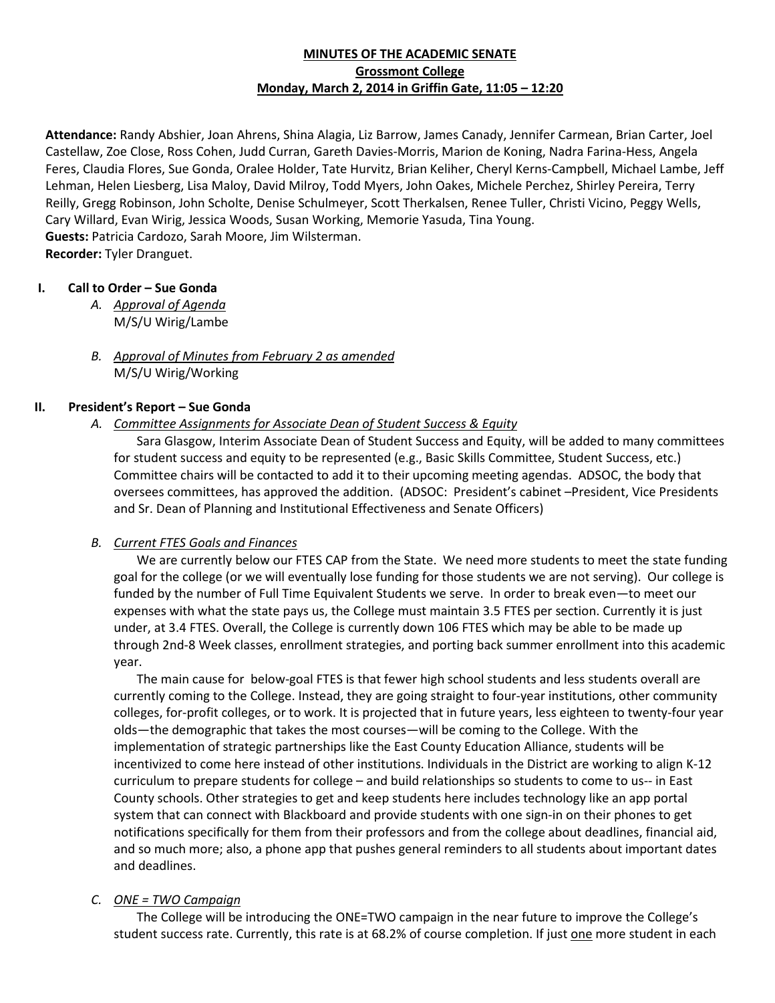## **MINUTES OF THE ACADEMIC SENATE Grossmont College Monday, March 2, 2014 in Griffin Gate, 11:05 – 12:20**

**Attendance:** Randy Abshier, Joan Ahrens, Shina Alagia, Liz Barrow, James Canady, Jennifer Carmean, Brian Carter, Joel Castellaw, Zoe Close, Ross Cohen, Judd Curran, Gareth Davies-Morris, Marion de Koning, Nadra Farina-Hess, Angela Feres, Claudia Flores, Sue Gonda, Oralee Holder, Tate Hurvitz, Brian Keliher, Cheryl Kerns-Campbell, Michael Lambe, Jeff Lehman, Helen Liesberg, Lisa Maloy, David Milroy, Todd Myers, John Oakes, Michele Perchez, Shirley Pereira, Terry Reilly, Gregg Robinson, John Scholte, Denise Schulmeyer, Scott Therkalsen, Renee Tuller, Christi Vicino, Peggy Wells, Cary Willard, Evan Wirig, Jessica Woods, Susan Working, Memorie Yasuda, Tina Young. **Guests:** Patricia Cardozo, Sarah Moore, Jim Wilsterman. **Recorder:** Tyler Dranguet.

## **I. Call to Order – Sue Gonda**

- *A. Approval of Agenda* M/S/U Wirig/Lambe
- *B. Approval of Minutes from February 2 as amended* M/S/U Wirig/Working

### **II. President's Report – Sue Gonda**

*A. Committee Assignments for Associate Dean of Student Success & Equity*

Sara Glasgow, Interim Associate Dean of Student Success and Equity, will be added to many committees for student success and equity to be represented (e.g., Basic Skills Committee, Student Success, etc.) Committee chairs will be contacted to add it to their upcoming meeting agendas. ADSOC, the body that oversees committees, has approved the addition. (ADSOC: President's cabinet –President, Vice Presidents and Sr. Dean of Planning and Institutional Effectiveness and Senate Officers)

### *B. Current FTES Goals and Finances*

We are currently below our FTES CAP from the State. We need more students to meet the state funding goal for the college (or we will eventually lose funding for those students we are not serving). Our college is funded by the number of Full Time Equivalent Students we serve. In order to break even—to meet our expenses with what the state pays us, the College must maintain 3.5 FTES per section. Currently it is just under, at 3.4 FTES. Overall, the College is currently down 106 FTES which may be able to be made up through 2nd-8 Week classes, enrollment strategies, and porting back summer enrollment into this academic year.

The main cause for below-goal FTES is that fewer high school students and less students overall are currently coming to the College. Instead, they are going straight to four-year institutions, other community colleges, for-profit colleges, or to work. It is projected that in future years, less eighteen to twenty-four year olds—the demographic that takes the most courses—will be coming to the College. With the implementation of strategic partnerships like the East County Education Alliance, students will be incentivized to come here instead of other institutions. Individuals in the District are working to align K-12 curriculum to prepare students for college – and build relationships so students to come to us-- in East County schools. Other strategies to get and keep students here includes technology like an app portal system that can connect with Blackboard and provide students with one sign-in on their phones to get notifications specifically for them from their professors and from the college about deadlines, financial aid, and so much more; also, a phone app that pushes general reminders to all students about important dates and deadlines.

### *C. ONE = TWO Campaign*

The College will be introducing the ONE=TWO campaign in the near future to improve the College's student success rate. Currently, this rate is at 68.2% of course completion. If just one more student in each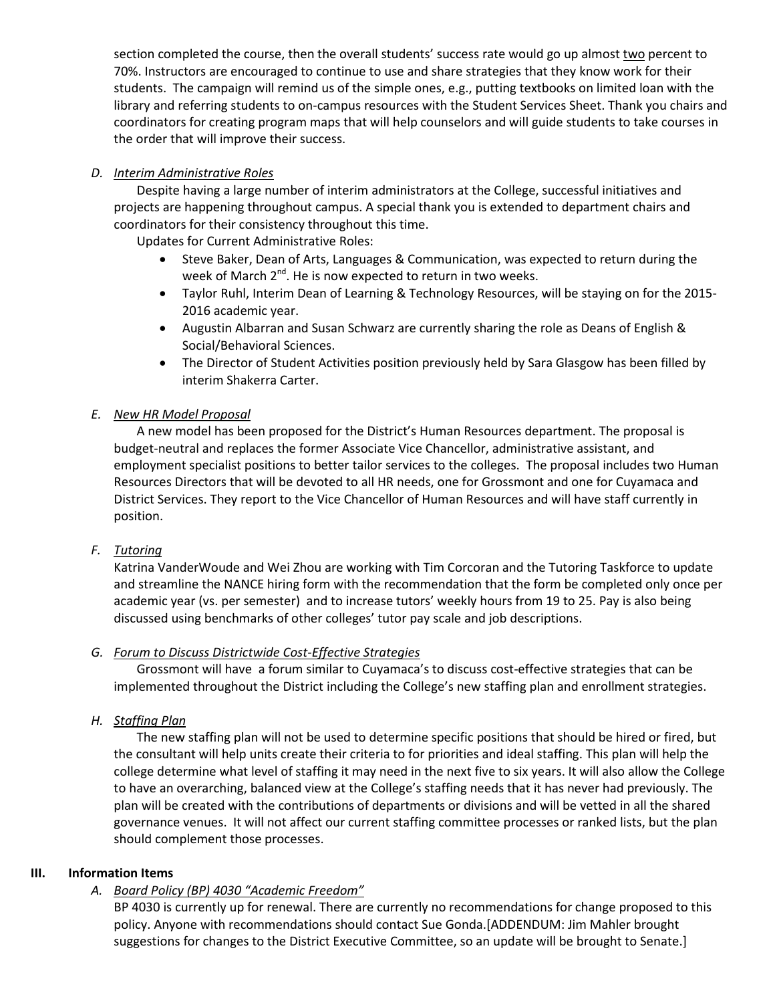section completed the course, then the overall students' success rate would go up almost two percent to 70%. Instructors are encouraged to continue to use and share strategies that they know work for their students. The campaign will remind us of the simple ones, e.g., putting textbooks on limited loan with the library and referring students to on-campus resources with the Student Services Sheet. Thank you chairs and coordinators for creating program maps that will help counselors and will guide students to take courses in the order that will improve their success.

## *D. Interim Administrative Roles*

Despite having a large number of interim administrators at the College, successful initiatives and projects are happening throughout campus. A special thank you is extended to department chairs and coordinators for their consistency throughout this time.

Updates for Current Administrative Roles:

- Steve Baker, Dean of Arts, Languages & Communication, was expected to return during the week of March  $2^{nd}$ . He is now expected to return in two weeks.
- Taylor Ruhl, Interim Dean of Learning & Technology Resources, will be staying on for the 2015- 2016 academic year.
- Augustin Albarran and Susan Schwarz are currently sharing the role as Deans of English & Social/Behavioral Sciences.
- The Director of Student Activities position previously held by Sara Glasgow has been filled by interim Shakerra Carter.

# *E. New HR Model Proposal*

A new model has been proposed for the District's Human Resources department. The proposal is budget-neutral and replaces the former Associate Vice Chancellor, administrative assistant, and employment specialist positions to better tailor services to the colleges. The proposal includes two Human Resources Directors that will be devoted to all HR needs, one for Grossmont and one for Cuyamaca and District Services. They report to the Vice Chancellor of Human Resources and will have staff currently in position.

### *F. Tutoring*

Katrina VanderWoude and Wei Zhou are working with Tim Corcoran and the Tutoring Taskforce to update and streamline the NANCE hiring form with the recommendation that the form be completed only once per academic year (vs. per semester) and to increase tutors' weekly hours from 19 to 25. Pay is also being discussed using benchmarks of other colleges' tutor pay scale and job descriptions.

# *G. Forum to Discuss Districtwide Cost-Effective Strategies*

Grossmont will have a forum similar to Cuyamaca's to discuss cost-effective strategies that can be implemented throughout the District including the College's new staffing plan and enrollment strategies.

# *H. Staffing Plan*

The new staffing plan will not be used to determine specific positions that should be hired or fired, but the consultant will help units create their criteria to for priorities and ideal staffing. This plan will help the college determine what level of staffing it may need in the next five to six years. It will also allow the College to have an overarching, balanced view at the College's staffing needs that it has never had previously. The plan will be created with the contributions of departments or divisions and will be vetted in all the shared governance venues. It will not affect our current staffing committee processes or ranked lists, but the plan should complement those processes.

### **III. Information Items**

*A. Board Policy (BP) 4030 "Academic Freedom"*

BP 4030 is currently up for renewal. There are currently no recommendations for change proposed to this policy. Anyone with recommendations should contact Sue Gonda.[ADDENDUM: Jim Mahler brought suggestions for changes to the District Executive Committee, so an update will be brought to Senate.]